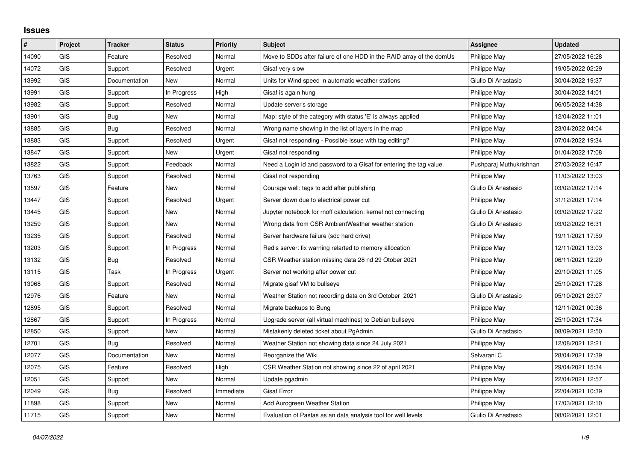## **Issues**

| ∦     | Project    | <b>Tracker</b> | <b>Status</b> | <b>Priority</b> | <b>Subject</b>                                                       | Assignee                | <b>Updated</b>   |
|-------|------------|----------------|---------------|-----------------|----------------------------------------------------------------------|-------------------------|------------------|
| 14090 | GIS        | Feature        | Resolved      | Normal          | Move to SDDs after failure of one HDD in the RAID array of the domUs | Philippe May            | 27/05/2022 16:28 |
| 14072 | GIS        | Support        | Resolved      | Urgent          | Gisaf very slow                                                      | Philippe May            | 19/05/2022 02:29 |
| 13992 | <b>GIS</b> | Documentation  | New           | Normal          | Units for Wind speed in automatic weather stations                   | Giulio Di Anastasio     | 30/04/2022 19:37 |
| 13991 | GIS        | Support        | In Progress   | High            | Gisaf is again hung                                                  | Philippe May            | 30/04/2022 14:01 |
| 13982 | GIS        | Support        | Resolved      | Normal          | Update server's storage                                              | Philippe May            | 06/05/2022 14:38 |
| 13901 | <b>GIS</b> | Bug            | New           | Normal          | Map: style of the category with status 'E' is always applied         | Philippe May            | 12/04/2022 11:01 |
| 13885 | <b>GIS</b> | Bug            | Resolved      | Normal          | Wrong name showing in the list of layers in the map                  | Philippe May            | 23/04/2022 04:04 |
| 13883 | GIS        | Support        | Resolved      | Urgent          | Gisaf not responding - Possible issue with tag editing?              | Philippe May            | 07/04/2022 19:34 |
| 13847 | GIS        | Support        | New           | Urgent          | Gisaf not responding                                                 | Philippe May            | 01/04/2022 17:08 |
| 13822 | GIS        | Support        | Feedback      | Normal          | Need a Login id and password to a Gisaf for entering the tag value.  | Pushparaj Muthukrishnan | 27/03/2022 16:47 |
| 13763 | GIS        | Support        | Resolved      | Normal          | Gisaf not responding                                                 | Philippe May            | 11/03/2022 13:03 |
| 13597 | GIS        | Feature        | <b>New</b>    | Normal          | Courage well: tags to add after publishing                           | Giulio Di Anastasio     | 03/02/2022 17:14 |
| 13447 | <b>GIS</b> | Support        | Resolved      | Urgent          | Server down due to electrical power cut                              | Philippe May            | 31/12/2021 17:14 |
| 13445 | GIS        | Support        | New           | Normal          | Jupyter notebook for rnoff calculation: kernel not connecting        | Giulio Di Anastasio     | 03/02/2022 17:22 |
| 13259 | <b>GIS</b> | Support        | <b>New</b>    | Normal          | Wrong data from CSR AmbientWeather weather station                   | Giulio Di Anastasio     | 03/02/2022 16:31 |
| 13235 | <b>GIS</b> | Support        | Resolved      | Normal          | Server hardware failure (sdc hard drive)                             | Philippe May            | 19/11/2021 17:59 |
| 13203 | GIS        | Support        | In Progress   | Normal          | Redis server: fix warning relarted to memory allocation              | Philippe May            | 12/11/2021 13:03 |
| 13132 | <b>GIS</b> | Bug            | Resolved      | Normal          | CSR Weather station missing data 28 nd 29 Otober 2021                | Philippe May            | 06/11/2021 12:20 |
| 13115 | <b>GIS</b> | Task           | In Progress   | Urgent          | Server not working after power cut                                   | Philippe May            | 29/10/2021 11:05 |
| 13068 | GIS        | Support        | Resolved      | Normal          | Migrate gisaf VM to bullseye                                         | Philippe May            | 25/10/2021 17:28 |
| 12976 | <b>GIS</b> | Feature        | New           | Normal          | Weather Station not recording data on 3rd October 2021               | Giulio Di Anastasio     | 05/10/2021 23:07 |
| 12895 | <b>GIS</b> | Support        | Resolved      | Normal          | Migrate backups to Bung                                              | Philippe May            | 12/11/2021 00:36 |
| 12867 | GIS        | Support        | In Progress   | Normal          | Upgrade server (all virtual machines) to Debian bullseye             | Philippe May            | 25/10/2021 17:34 |
| 12850 | <b>GIS</b> | Support        | New           | Normal          | Mistakenly deleted ticket about PgAdmin                              | Giulio Di Anastasio     | 08/09/2021 12:50 |
| 12701 | GIS        | Bug            | Resolved      | Normal          | Weather Station not showing data since 24 July 2021                  | Philippe May            | 12/08/2021 12:21 |
| 12077 | GIS        | Documentation  | New           | Normal          | Reorganize the Wiki                                                  | Selvarani C             | 28/04/2021 17:39 |
| 12075 | <b>GIS</b> | Feature        | Resolved      | High            | CSR Weather Station not showing since 22 of april 2021               | Philippe May            | 29/04/2021 15:34 |
| 12051 | GIS        | Support        | <b>New</b>    | Normal          | Update pgadmin                                                       | Philippe May            | 22/04/2021 12:57 |
| 12049 | <b>GIS</b> | Bug            | Resolved      | Immediate       | <b>Gisaf Error</b>                                                   | Philippe May            | 22/04/2021 10:39 |
| 11898 | <b>GIS</b> | Support        | New           | Normal          | Add Aurogreen Weather Station                                        | Philippe May            | 17/03/2021 12:10 |
| 11715 | GIS        | Support        | <b>New</b>    | Normal          | Evaluation of Pastas as an data analysis tool for well levels        | Giulio Di Anastasio     | 08/02/2021 12:01 |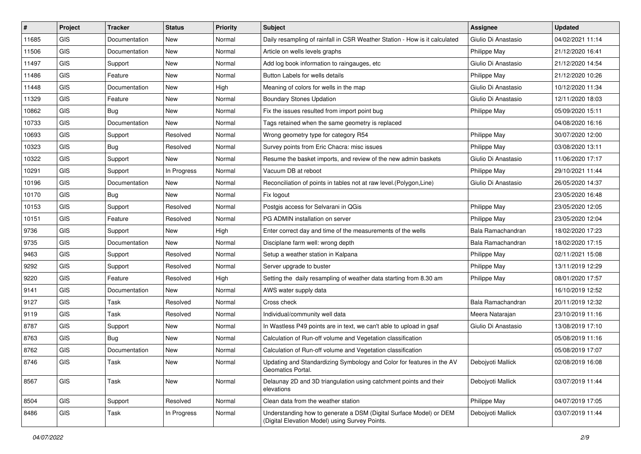| #     | Project    | <b>Tracker</b> | <b>Status</b> | <b>Priority</b> | Subject                                                                                                              | <b>Assignee</b>     | <b>Updated</b>   |
|-------|------------|----------------|---------------|-----------------|----------------------------------------------------------------------------------------------------------------------|---------------------|------------------|
| 11685 | <b>GIS</b> | Documentation  | New           | Normal          | Daily resampling of rainfall in CSR Weather Station - How is it calculated                                           | Giulio Di Anastasio | 04/02/2021 11:14 |
| 11506 | <b>GIS</b> | Documentation  | New           | Normal          | Article on wells levels graphs                                                                                       | Philippe May        | 21/12/2020 16:41 |
| 11497 | GIS        | Support        | New           | Normal          | Add log book information to raingauges, etc                                                                          | Giulio Di Anastasio | 21/12/2020 14:54 |
| 11486 | GIS        | Feature        | New           | Normal          | Button Labels for wells details                                                                                      | Philippe May        | 21/12/2020 10:26 |
| 11448 | <b>GIS</b> | Documentation  | New           | High            | Meaning of colors for wells in the map                                                                               | Giulio Di Anastasio | 10/12/2020 11:34 |
| 11329 | <b>GIS</b> | Feature        | New           | Normal          | <b>Boundary Stones Updation</b>                                                                                      | Giulio Di Anastasio | 12/11/2020 18:03 |
| 10862 | GIS        | <b>Bug</b>     | New           | Normal          | Fix the issues resulted from import point bug                                                                        | <b>Philippe May</b> | 05/09/2020 15:11 |
| 10733 | GIS        | Documentation  | New           | Normal          | Tags retained when the same geometry is replaced                                                                     |                     | 04/08/2020 16:16 |
| 10693 | GIS        | Support        | Resolved      | Normal          | Wrong geometry type for category R54                                                                                 | Philippe May        | 30/07/2020 12:00 |
| 10323 | <b>GIS</b> | <b>Bug</b>     | Resolved      | Normal          | Survey points from Eric Chacra: misc issues                                                                          | Philippe May        | 03/08/2020 13:11 |
| 10322 | <b>GIS</b> | Support        | New           | Normal          | Resume the basket imports, and review of the new admin baskets                                                       | Giulio Di Anastasio | 11/06/2020 17:17 |
| 10291 | GIS        | Support        | In Progress   | Normal          | Vacuum DB at reboot                                                                                                  | Philippe May        | 29/10/2021 11:44 |
| 10196 | <b>GIS</b> | Documentation  | New           | Normal          | Reconciliation of points in tables not at raw level. (Polygon, Line)                                                 | Giulio Di Anastasio | 26/05/2020 14:37 |
| 10170 | <b>GIS</b> | Bug            | New           | Normal          | Fix logout                                                                                                           |                     | 23/05/2020 16:48 |
| 10153 | <b>GIS</b> | Support        | Resolved      | Normal          | Postgis access for Selvarani in QGis                                                                                 | Philippe May        | 23/05/2020 12:05 |
| 10151 | <b>GIS</b> | Feature        | Resolved      | Normal          | PG ADMIN installation on server                                                                                      | Philippe May        | 23/05/2020 12:04 |
| 9736  | GIS        | Support        | New           | High            | Enter correct day and time of the measurements of the wells                                                          | Bala Ramachandran   | 18/02/2020 17:23 |
| 9735  | <b>GIS</b> | Documentation  | New           | Normal          | Disciplane farm well: wrong depth                                                                                    | Bala Ramachandran   | 18/02/2020 17:15 |
| 9463  | <b>GIS</b> | Support        | Resolved      | Normal          | Setup a weather station in Kalpana                                                                                   | Philippe May        | 02/11/2021 15:08 |
| 9292  | GIS        | Support        | Resolved      | Normal          | Server upgrade to buster                                                                                             | Philippe May        | 13/11/2019 12:29 |
| 9220  | <b>GIS</b> | Feature        | Resolved      | High            | Setting the daily resampling of weather data starting from 8.30 am                                                   | Philippe May        | 08/01/2020 17:57 |
| 9141  | GIS        | Documentation  | New           | Normal          | AWS water supply data                                                                                                |                     | 16/10/2019 12:52 |
| 9127  | <b>GIS</b> | Task           | Resolved      | Normal          | Cross check                                                                                                          | Bala Ramachandran   | 20/11/2019 12:32 |
| 9119  | <b>GIS</b> | Task           | Resolved      | Normal          | Individual/community well data                                                                                       | Meera Natarajan     | 23/10/2019 11:16 |
| 8787  | GIS        | Support        | New           | Normal          | In Wastless P49 points are in text, we can't able to upload in gsaf                                                  | Giulio Di Anastasio | 13/08/2019 17:10 |
| 8763  | GIS        | <b>Bug</b>     | New           | Normal          | Calculation of Run-off volume and Vegetation classification                                                          |                     | 05/08/2019 11:16 |
| 8762  | GIS        | Documentation  | New           | Normal          | Calculation of Run-off volume and Vegetation classification                                                          |                     | 05/08/2019 17:07 |
| 8746  | GIS        | Task           | New           | Normal          | Updating and Standardizing Symbology and Color for features in the AV<br>Geomatics Portal.                           | Debojyoti Mallick   | 02/08/2019 16:08 |
| 8567  | GIS        | Task           | New           | Normal          | Delaunay 2D and 3D triangulation using catchment points and their<br>elevations                                      | Debojyoti Mallick   | 03/07/2019 11:44 |
| 8504  | GIS        | Support        | Resolved      | Normal          | Clean data from the weather station                                                                                  | Philippe May        | 04/07/2019 17:05 |
| 8486  | GIS        | Task           | In Progress   | Normal          | Understanding how to generate a DSM (Digital Surface Model) or DEM<br>(Digital Elevation Model) using Survey Points. | Debojyoti Mallick   | 03/07/2019 11:44 |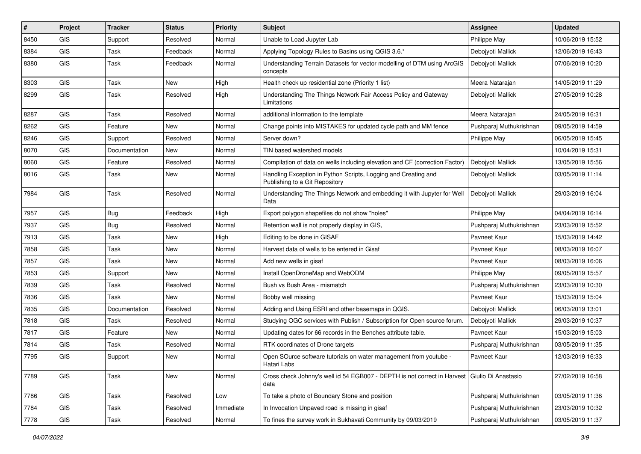| #    | Project                     | <b>Tracker</b> | <b>Status</b> | <b>Priority</b> | Subject                                                                                              | Assignee                | <b>Updated</b>   |
|------|-----------------------------|----------------|---------------|-----------------|------------------------------------------------------------------------------------------------------|-------------------------|------------------|
| 8450 | GIS                         | Support        | Resolved      | Normal          | Unable to Load Jupyter Lab                                                                           | Philippe May            | 10/06/2019 15:52 |
| 8384 | GIS                         | Task           | Feedback      | Normal          | Applying Topology Rules to Basins using QGIS 3.6.*                                                   | Debojyoti Mallick       | 12/06/2019 16:43 |
| 8380 | GIS                         | Task           | Feedback      | Normal          | Understanding Terrain Datasets for vector modelling of DTM using ArcGIS<br>concepts                  | Debojyoti Mallick       | 07/06/2019 10:20 |
| 8303 | <b>GIS</b>                  | Task           | <b>New</b>    | High            | Health check up residential zone (Priority 1 list)                                                   | Meera Natarajan         | 14/05/2019 11:29 |
| 8299 | GIS                         | Task           | Resolved      | High            | Understanding The Things Network Fair Access Policy and Gateway<br>Limitations                       | Debojyoti Mallick       | 27/05/2019 10:28 |
| 8287 | GIS                         | Task           | Resolved      | Normal          | additional information to the template                                                               | Meera Natarajan         | 24/05/2019 16:31 |
| 8262 | GIS                         | Feature        | New           | Normal          | Change points into MISTAKES for updated cycle path and MM fence                                      | Pushparaj Muthukrishnan | 09/05/2019 14:59 |
| 8246 | GIS                         | Support        | Resolved      | Normal          | Server down?                                                                                         | Philippe May            | 06/05/2019 15:45 |
| 8070 | GIS                         | Documentation  | New           | Normal          | TIN based watershed models                                                                           |                         | 10/04/2019 15:31 |
| 8060 | GIS                         | Feature        | Resolved      | Normal          | Compilation of data on wells including elevation and CF (correction Factor)                          | Debojyoti Mallick       | 13/05/2019 15:56 |
| 8016 | <b>GIS</b>                  | Task           | <b>New</b>    | Normal          | Handling Exception in Python Scripts, Logging and Creating and<br>Publishing to a Git Repository     | Debojyoti Mallick       | 03/05/2019 11:14 |
| 7984 | GIS                         | Task           | Resolved      | Normal          | Understanding The Things Network and embedding it with Jupyter for Well<br>Data                      | Debojyoti Mallick       | 29/03/2019 16:04 |
| 7957 | GIS                         | Bug            | Feedback      | High            | Export polygon shapefiles do not show "holes"                                                        | Philippe May            | 04/04/2019 16:14 |
| 7937 | GIS                         | <b>Bug</b>     | Resolved      | Normal          | Retention wall is not properly display in GIS,                                                       | Pushparaj Muthukrishnan | 23/03/2019 15:52 |
| 7913 | GIS                         | Task           | New           | High            | Editing to be done in GISAF                                                                          | Pavneet Kaur            | 15/03/2019 14:42 |
| 7858 | GIS                         | Task           | New           | Normal          | Harvest data of wells to be entered in Gisaf                                                         | Pavneet Kaur            | 08/03/2019 16:07 |
| 7857 | GIS                         | Task           | <b>New</b>    | Normal          | Add new wells in gisaf                                                                               | Pavneet Kaur            | 08/03/2019 16:06 |
| 7853 | <b>GIS</b>                  | Support        | New           | Normal          | Install OpenDroneMap and WebODM                                                                      | Philippe May            | 09/05/2019 15:57 |
| 7839 | <b>GIS</b>                  | Task           | Resolved      | Normal          | Bush vs Bush Area - mismatch                                                                         | Pushparaj Muthukrishnan | 23/03/2019 10:30 |
| 7836 | GIS                         | Task           | New           | Normal          | Bobby well missing                                                                                   | Pavneet Kaur            | 15/03/2019 15:04 |
| 7835 | GIS                         | Documentation  | Resolved      | Normal          | Adding and Using ESRI and other basemaps in QGIS.                                                    | Debojyoti Mallick       | 06/03/2019 13:01 |
| 7818 | GIS                         | Task           | Resolved      | Normal          | Studying OGC services with Publish / Subscription for Open source forum.                             | Debojyoti Mallick       | 29/03/2019 10:37 |
| 7817 | GIS                         | Feature        | New           | Normal          | Updating dates for 66 records in the Benches attribute table.                                        | Pavneet Kaur            | 15/03/2019 15:03 |
| 7814 | <b>GIS</b>                  | Task           | Resolved      | Normal          | RTK coordinates of Drone targets                                                                     | Pushparaj Muthukrishnan | 03/05/2019 11:35 |
| 7795 | GIS                         | Support        | New           | Normal          | Open SOurce software tutorials on water management from youtube -<br>Hatari Labs                     | Pavneet Kaur            | 12/03/2019 16:33 |
| 7789 | GIS                         | Task           | <b>New</b>    | Normal          | Cross check Johnny's well id 54 EGB007 - DEPTH is not correct in Harvest Giulio Di Anastasio<br>data |                         | 27/02/2019 16:58 |
| 7786 | GIS                         | Task           | Resolved      | Low             | To take a photo of Boundary Stone and position                                                       | Pushparaj Muthukrishnan | 03/05/2019 11:36 |
| 7784 | GIS                         | Task           | Resolved      | Immediate       | In Invocation Unpaved road is missing in gisaf                                                       | Pushparaj Muthukrishnan | 23/03/2019 10:32 |
| 7778 | $\ensuremath{\mathsf{GIS}}$ | Task           | Resolved      | Normal          | To fines the survey work in Sukhavati Community by 09/03/2019                                        | Pushparaj Muthukrishnan | 03/05/2019 11:37 |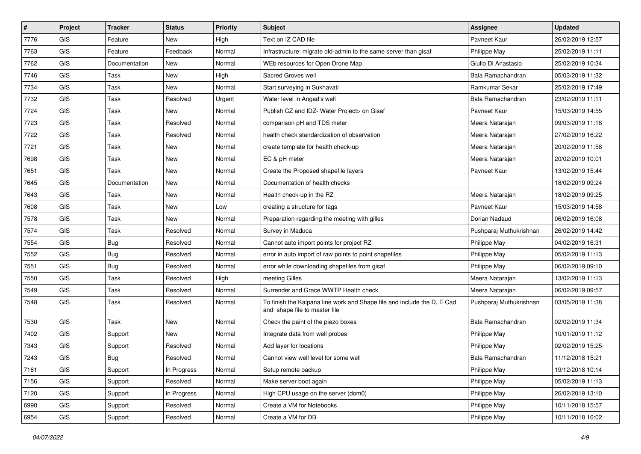| #    | Project                     | <b>Tracker</b> | <b>Status</b> | <b>Priority</b> | <b>Subject</b>                                                                                           | <b>Assignee</b>         | <b>Updated</b>   |
|------|-----------------------------|----------------|---------------|-----------------|----------------------------------------------------------------------------------------------------------|-------------------------|------------------|
| 7776 | GIS                         | Feature        | New           | High            | Text on IZ CAD file                                                                                      | Pavneet Kaur            | 26/02/2019 12:57 |
| 7763 | GIS                         | Feature        | Feedback      | Normal          | Infrastructure: migrate old-admin to the same server than gisaf                                          | Philippe May            | 25/02/2019 11:11 |
| 7762 | <b>GIS</b>                  | Documentation  | New           | Normal          | WEb resources for Open Drone Map                                                                         | Giulio Di Anastasio     | 25/02/2019 10:34 |
| 7746 | GIS                         | Task           | <b>New</b>    | High            | Sacred Groves well                                                                                       | Bala Ramachandran       | 05/03/2019 11:32 |
| 7734 | GIS                         | Task           | New           | Normal          | Start surveying in Sukhavati                                                                             | Ramkumar Sekar          | 25/02/2019 17:49 |
| 7732 | GIS                         | Task           | Resolved      | Urgent          | Water level in Angad's well                                                                              | Bala Ramachandran       | 23/02/2019 11:11 |
| 7724 | GIS                         | Task           | New           | Normal          | Publish CZ and IDZ- Water Project> on Gisaf                                                              | Pavneet Kaur            | 15/03/2019 14:55 |
| 7723 | GIS                         | Task           | Resolved      | Normal          | comparison pH and TDS meter                                                                              | Meera Natarajan         | 09/03/2019 11:18 |
| 7722 | GIS                         | Task           | Resolved      | Normal          | health check standardization of observation                                                              | Meera Natarajan         | 27/02/2019 16:22 |
| 7721 | GIS                         | Task           | New           | Normal          | create template for health check-up                                                                      | Meera Natarajan         | 20/02/2019 11:58 |
| 7698 | GIS                         | Task           | New           | Normal          | EC & pH meter                                                                                            | Meera Natarajan         | 20/02/2019 10:01 |
| 7651 | GIS                         | Task           | New           | Normal          | Create the Proposed shapefile layers                                                                     | Pavneet Kaur            | 13/02/2019 15:44 |
| 7645 | <b>GIS</b>                  | Documentation  | <b>New</b>    | Normal          | Documentation of health checks                                                                           |                         | 18/02/2019 09:24 |
| 7643 | GIS                         | Task           | New           | Normal          | Health check-up in the RZ                                                                                | Meera Natarajan         | 18/02/2019 09:25 |
| 7608 | <b>GIS</b>                  | Task           | <b>New</b>    | Low             | creating a structure for tags                                                                            | Pavneet Kaur            | 15/03/2019 14:58 |
| 7578 | <b>GIS</b>                  | Task           | New           | Normal          | Preparation regarding the meeting with gilles                                                            | Dorian Nadaud           | 06/02/2019 16:08 |
| 7574 | GIS                         | Task           | Resolved      | Normal          | Survey in Maduca                                                                                         | Pushparaj Muthukrishnan | 26/02/2019 14:42 |
| 7554 | GIS                         | Bug            | Resolved      | Normal          | Cannot auto import points for project RZ                                                                 | Philippe May            | 04/02/2019 16:31 |
| 7552 | GIS                         | <b>Bug</b>     | Resolved      | Normal          | error in auto import of raw points to point shapefiles                                                   | Philippe May            | 05/02/2019 11:13 |
| 7551 | GIS                         | Bug            | Resolved      | Normal          | error while downloading shapefiles from gisaf                                                            | Philippe May            | 06/02/2019 09:10 |
| 7550 | GIS                         | Task           | Resolved      | High            | meeting Gilles                                                                                           | Meera Natarajan         | 13/02/2019 11:13 |
| 7549 | GIS                         | Task           | Resolved      | Normal          | Surrender and Grace WWTP Health check                                                                    | Meera Natarajan         | 06/02/2019 09:57 |
| 7548 | GIS                         | Task           | Resolved      | Normal          | To finish the Kalpana line work and Shape file and include the D, E Cad<br>and shape file to master file | Pushparaj Muthukrishnan | 03/05/2019 11:38 |
| 7530 | GIS                         | Task           | New           | Normal          | Check the paint of the piezo boxes                                                                       | Bala Ramachandran       | 02/02/2019 11:34 |
| 7402 | GIS                         | Support        | New           | Normal          | Integrate data from well probes                                                                          | Philippe May            | 10/01/2019 11:12 |
| 7343 | GIS                         | Support        | Resolved      | Normal          | Add layer for locations                                                                                  | Philippe May            | 02/02/2019 15:25 |
| 7243 | GIS                         | <b>Bug</b>     | Resolved      | Normal          | Cannot view well level for some well                                                                     | Bala Ramachandran       | 11/12/2018 15:21 |
| 7161 | GIS                         | Support        | In Progress   | Normal          | Setup remote backup                                                                                      | Philippe May            | 19/12/2018 10:14 |
| 7156 | GIS                         | Support        | Resolved      | Normal          | Make server boot again                                                                                   | Philippe May            | 05/02/2019 11:13 |
| 7120 | GIS                         | Support        | In Progress   | Normal          | High CPU usage on the server (dom0)                                                                      | Philippe May            | 26/02/2019 13:10 |
| 6990 | GIS                         | Support        | Resolved      | Normal          | Create a VM for Notebooks                                                                                | Philippe May            | 10/11/2018 15:57 |
| 6954 | $\ensuremath{\mathsf{GIS}}$ | Support        | Resolved      | Normal          | Create a VM for DB                                                                                       | Philippe May            | 10/11/2018 16:02 |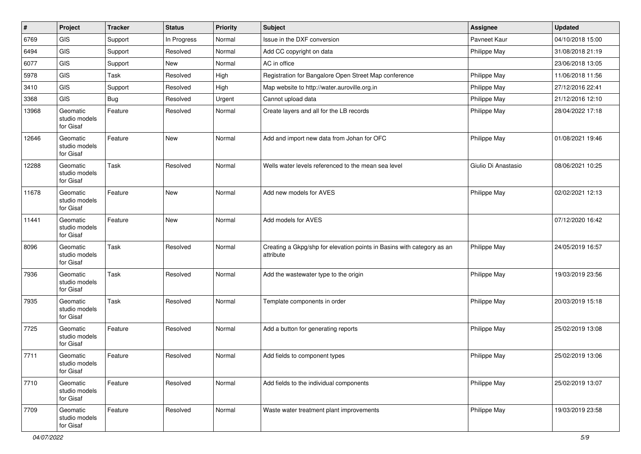| $\vert$ # | Project                                | <b>Tracker</b> | <b>Status</b> | <b>Priority</b> | <b>Subject</b>                                                                      | <b>Assignee</b>     | <b>Updated</b>   |
|-----------|----------------------------------------|----------------|---------------|-----------------|-------------------------------------------------------------------------------------|---------------------|------------------|
| 6769      | GIS                                    | Support        | In Progress   | Normal          | Issue in the DXF conversion                                                         | Pavneet Kaur        | 04/10/2018 15:00 |
| 6494      | GIS                                    | Support        | Resolved      | Normal          | Add CC copyright on data                                                            | Philippe May        | 31/08/2018 21:19 |
| 6077      | GIS                                    | Support        | New           | Normal          | AC in office                                                                        |                     | 23/06/2018 13:05 |
| 5978      | GIS                                    | Task           | Resolved      | High            | Registration for Bangalore Open Street Map conference                               | Philippe May        | 11/06/2018 11:56 |
| 3410      | GIS                                    | Support        | Resolved      | High            | Map website to http://water.auroville.org.in                                        | Philippe May        | 27/12/2016 22:41 |
| 3368      | <b>GIS</b>                             | Bug            | Resolved      | Urgent          | Cannot upload data                                                                  | Philippe May        | 21/12/2016 12:10 |
| 13968     | Geomatic<br>studio models<br>for Gisaf | Feature        | Resolved      | Normal          | Create layers and all for the LB records                                            | Philippe May        | 28/04/2022 17:18 |
| 12646     | Geomatic<br>studio models<br>for Gisaf | Feature        | <b>New</b>    | Normal          | Add and import new data from Johan for OFC                                          | Philippe May        | 01/08/2021 19:46 |
| 12288     | Geomatic<br>studio models<br>for Gisaf | Task           | Resolved      | Normal          | Wells water levels referenced to the mean sea level                                 | Giulio Di Anastasio | 08/06/2021 10:25 |
| 11678     | Geomatic<br>studio models<br>for Gisaf | Feature        | <b>New</b>    | Normal          | Add new models for AVES                                                             | Philippe May        | 02/02/2021 12:13 |
| 11441     | Geomatic<br>studio models<br>for Gisaf | Feature        | <b>New</b>    | Normal          | Add models for AVES                                                                 |                     | 07/12/2020 16:42 |
| 8096      | Geomatic<br>studio models<br>for Gisaf | Task           | Resolved      | Normal          | Creating a Gkpg/shp for elevation points in Basins with category as an<br>attribute | Philippe May        | 24/05/2019 16:57 |
| 7936      | Geomatic<br>studio models<br>for Gisaf | Task           | Resolved      | Normal          | Add the wastewater type to the origin                                               | Philippe May        | 19/03/2019 23:56 |
| 7935      | Geomatic<br>studio models<br>for Gisaf | Task           | Resolved      | Normal          | Template components in order                                                        | Philippe May        | 20/03/2019 15:18 |
| 7725      | Geomatic<br>studio models<br>for Gisaf | Feature        | Resolved      | Normal          | Add a button for generating reports                                                 | Philippe May        | 25/02/2019 13:08 |
| 7711      | Geomatic<br>studio models<br>for Gisaf | Feature        | Resolved      | Normal          | Add fields to component types                                                       | Philippe May        | 25/02/2019 13:06 |
| 7710      | Geomatic<br>studio models<br>for Gisaf | Feature        | Resolved      | Normal          | Add fields to the individual components                                             | Philippe May        | 25/02/2019 13:07 |
| 7709      | Geomatic<br>studio models<br>for Gisaf | Feature        | Resolved      | Normal          | Waste water treatment plant improvements                                            | Philippe May        | 19/03/2019 23:58 |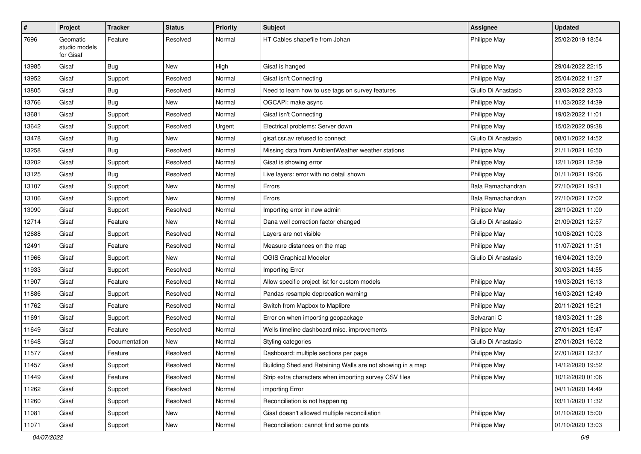| $\vert$ # | Project                                | <b>Tracker</b> | <b>Status</b> | <b>Priority</b> | <b>Subject</b>                                             | Assignee            | <b>Updated</b>   |
|-----------|----------------------------------------|----------------|---------------|-----------------|------------------------------------------------------------|---------------------|------------------|
| 7696      | Geomatic<br>studio models<br>for Gisaf | Feature        | Resolved      | Normal          | HT Cables shapefile from Johan                             | Philippe May        | 25/02/2019 18:54 |
| 13985     | Gisaf                                  | Bug            | New           | High            | Gisaf is hanged                                            | Philippe May        | 29/04/2022 22:15 |
| 13952     | Gisaf                                  | Support        | Resolved      | Normal          | Gisaf isn't Connecting                                     | Philippe May        | 25/04/2022 11:27 |
| 13805     | Gisaf                                  | Bug            | Resolved      | Normal          | Need to learn how to use tags on survey features           | Giulio Di Anastasio | 23/03/2022 23:03 |
| 13766     | Gisaf                                  | Bug            | New           | Normal          | OGCAPI: make async                                         | Philippe May        | 11/03/2022 14:39 |
| 13681     | Gisaf                                  | Support        | Resolved      | Normal          | Gisaf isn't Connecting                                     | Philippe May        | 19/02/2022 11:01 |
| 13642     | Gisaf                                  | Support        | Resolved      | Urgent          | Electrical problems: Server down                           | Philippe May        | 15/02/2022 09:38 |
| 13478     | Gisaf                                  | <b>Bug</b>     | New           | Normal          | gisaf.csr.av refused to connect                            | Giulio Di Anastasio | 08/01/2022 14:52 |
| 13258     | Gisaf                                  | Bug            | Resolved      | Normal          | Missing data from AmbientWeather weather stations          | Philippe May        | 21/11/2021 16:50 |
| 13202     | Gisaf                                  | Support        | Resolved      | Normal          | Gisaf is showing error                                     | Philippe May        | 12/11/2021 12:59 |
| 13125     | Gisaf                                  | <b>Bug</b>     | Resolved      | Normal          | Live layers: error with no detail shown                    | Philippe May        | 01/11/2021 19:06 |
| 13107     | Gisaf                                  | Support        | New           | Normal          | Errors                                                     | Bala Ramachandran   | 27/10/2021 19:31 |
| 13106     | Gisaf                                  | Support        | New           | Normal          | Errors                                                     | Bala Ramachandran   | 27/10/2021 17:02 |
| 13090     | Gisaf                                  | Support        | Resolved      | Normal          | Importing error in new admin                               | Philippe May        | 28/10/2021 11:00 |
| 12714     | Gisaf                                  | Feature        | New           | Normal          | Dana well correction factor changed                        | Giulio Di Anastasio | 21/09/2021 12:57 |
| 12688     | Gisaf                                  | Support        | Resolved      | Normal          | Layers are not visible                                     | Philippe May        | 10/08/2021 10:03 |
| 12491     | Gisaf                                  | Feature        | Resolved      | Normal          | Measure distances on the map                               | Philippe May        | 11/07/2021 11:51 |
| 11966     | Gisaf                                  | Support        | New           | Normal          | <b>QGIS Graphical Modeler</b>                              | Giulio Di Anastasio | 16/04/2021 13:09 |
| 11933     | Gisaf                                  | Support        | Resolved      | Normal          | Importing Error                                            |                     | 30/03/2021 14:55 |
| 11907     | Gisaf                                  | Feature        | Resolved      | Normal          | Allow specific project list for custom models              | Philippe May        | 19/03/2021 16:13 |
| 11886     | Gisaf                                  | Support        | Resolved      | Normal          | Pandas resample deprecation warning                        | Philippe May        | 16/03/2021 12:49 |
| 11762     | Gisaf                                  | Feature        | Resolved      | Normal          | Switch from Mapbox to Maplibre                             | Philippe May        | 20/11/2021 15:21 |
| 11691     | Gisaf                                  | Support        | Resolved      | Normal          | Error on when importing geopackage                         | Selvarani C         | 18/03/2021 11:28 |
| 11649     | Gisaf                                  | Feature        | Resolved      | Normal          | Wells timeline dashboard misc. improvements                | Philippe May        | 27/01/2021 15:47 |
| 11648     | Gisaf                                  | Documentation  | New           | Normal          | Styling categories                                         | Giulio Di Anastasio | 27/01/2021 16:02 |
| 11577     | Gisaf                                  | Feature        | Resolved      | Normal          | Dashboard: multiple sections per page                      | Philippe May        | 27/01/2021 12:37 |
| 11457     | Gisaf                                  | Support        | Resolved      | Normal          | Building Shed and Retaining Walls are not showing in a map | <b>Philippe May</b> | 14/12/2020 19:52 |
| 11449     | Gisaf                                  | Feature        | Resolved      | Normal          | Strip extra characters when importing survey CSV files     | Philippe May        | 10/12/2020 01:06 |
| 11262     | Gisaf                                  | Support        | Resolved      | Normal          | importing Error                                            |                     | 04/11/2020 14:49 |
| 11260     | Gisaf                                  | Support        | Resolved      | Normal          | Reconciliation is not happening                            |                     | 03/11/2020 11:32 |
| 11081     | Gisaf                                  | Support        | New           | Normal          | Gisaf doesn't allowed multiple reconciliation              | Philippe May        | 01/10/2020 15:00 |
| 11071     | Gisaf                                  | Support        | New           | Normal          | Reconciliation: cannot find some points                    | Philippe May        | 01/10/2020 13:03 |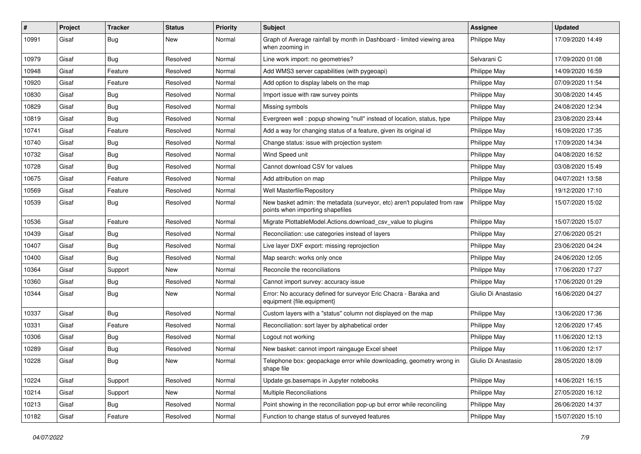| #     | Project | <b>Tracker</b> | <b>Status</b> | <b>Priority</b> | Subject                                                                                                      | Assignee            | <b>Updated</b>   |
|-------|---------|----------------|---------------|-----------------|--------------------------------------------------------------------------------------------------------------|---------------------|------------------|
| 10991 | Gisaf   | Bug            | <b>New</b>    | Normal          | Graph of Average rainfall by month in Dashboard - limited viewing area<br>when zooming in                    | Philippe May        | 17/09/2020 14:49 |
| 10979 | Gisaf   | Bug            | Resolved      | Normal          | Line work import: no geometries?                                                                             | Selvarani C         | 17/09/2020 01:08 |
| 10948 | Gisaf   | Feature        | Resolved      | Normal          | Add WMS3 server capabilities (with pygeoapi)                                                                 | Philippe May        | 14/09/2020 16:59 |
| 10920 | Gisaf   | Feature        | Resolved      | Normal          | Add option to display labels on the map                                                                      | Philippe May        | 07/09/2020 11:54 |
| 10830 | Gisaf   | Bug            | Resolved      | Normal          | Import issue with raw survey points                                                                          | Philippe May        | 30/08/2020 14:45 |
| 10829 | Gisaf   | <b>Bug</b>     | Resolved      | Normal          | Missing symbols                                                                                              | Philippe May        | 24/08/2020 12:34 |
| 10819 | Gisaf   | Bug            | Resolved      | Normal          | Evergreen well: popup showing "null" instead of location, status, type                                       | Philippe May        | 23/08/2020 23:44 |
| 10741 | Gisaf   | Feature        | Resolved      | Normal          | Add a way for changing status of a feature, given its original id                                            | Philippe May        | 16/09/2020 17:35 |
| 10740 | Gisaf   | Bug            | Resolved      | Normal          | Change status: issue with projection system                                                                  | Philippe May        | 17/09/2020 14:34 |
| 10732 | Gisaf   | Bug            | Resolved      | Normal          | Wind Speed unit                                                                                              | Philippe May        | 04/08/2020 16:52 |
| 10728 | Gisaf   | Bug            | Resolved      | Normal          | Cannot download CSV for values                                                                               | Philippe May        | 03/08/2020 15:49 |
| 10675 | Gisaf   | Feature        | Resolved      | Normal          | Add attribution on map                                                                                       | Philippe May        | 04/07/2021 13:58 |
| 10569 | Gisaf   | Feature        | Resolved      | Normal          | Well Masterfile/Repository                                                                                   | Philippe May        | 19/12/2020 17:10 |
| 10539 | Gisaf   | Bug            | Resolved      | Normal          | New basket admin: the metadata (surveyor, etc) aren't populated from raw<br>points when importing shapefiles | Philippe May        | 15/07/2020 15:02 |
| 10536 | Gisaf   | Feature        | Resolved      | Normal          | Migrate PlottableModel.Actions.download csv value to plugins                                                 | Philippe May        | 15/07/2020 15:07 |
| 10439 | Gisaf   | Bug            | Resolved      | Normal          | Reconciliation: use categories instead of layers                                                             | Philippe May        | 27/06/2020 05:21 |
| 10407 | Gisaf   | Bug            | Resolved      | Normal          | Live layer DXF export: missing reprojection                                                                  | Philippe May        | 23/06/2020 04:24 |
| 10400 | Gisaf   | Bug            | Resolved      | Normal          | Map search: works only once                                                                                  | Philippe May        | 24/06/2020 12:05 |
| 10364 | Gisaf   | Support        | New           | Normal          | Reconcile the reconciliations                                                                                | Philippe May        | 17/06/2020 17:27 |
| 10360 | Gisaf   | <b>Bug</b>     | Resolved      | Normal          | Cannot import survey: accuracy issue                                                                         | Philippe May        | 17/06/2020 01:29 |
| 10344 | Gisaf   | Bug            | <b>New</b>    | Normal          | Error: No accuracy defined for surveyor Eric Chacra - Baraka and<br>equipment {file.equipment}               | Giulio Di Anastasio | 16/06/2020 04:27 |
| 10337 | Gisaf   | Bug            | Resolved      | Normal          | Custom layers with a "status" column not displayed on the map                                                | Philippe May        | 13/06/2020 17:36 |
| 10331 | Gisaf   | Feature        | Resolved      | Normal          | Reconciliation: sort layer by alphabetical order                                                             | Philippe May        | 12/06/2020 17:45 |
| 10306 | Gisaf   | Bug            | Resolved      | Normal          | Logout not working                                                                                           | Philippe May        | 11/06/2020 12:13 |
| 10289 | Gisaf   | Bug            | Resolved      | Normal          | New basket: cannot import raingauge Excel sheet                                                              | Philippe May        | 11/06/2020 12:17 |
| 10228 | Gisaf   | i Bug          | <b>New</b>    | Normal          | Telephone box: geopackage error while downloading, geometry wrong in<br>shape file                           | Giulio Di Anastasio | 28/05/2020 18:09 |
| 10224 | Gisaf   | Support        | Resolved      | Normal          | Update gs.basemaps in Jupyter notebooks                                                                      | Philippe May        | 14/06/2021 16:15 |
| 10214 | Gisaf   | Support        | New           | Normal          | Multiple Reconciliations                                                                                     | Philippe May        | 27/05/2020 16:12 |
| 10213 | Gisaf   | <b>Bug</b>     | Resolved      | Normal          | Point showing in the reconciliation pop-up but error while reconciling                                       | Philippe May        | 26/06/2020 14:37 |
| 10182 | Gisaf   | Feature        | Resolved      | Normal          | Function to change status of surveyed features                                                               | Philippe May        | 15/07/2020 15:10 |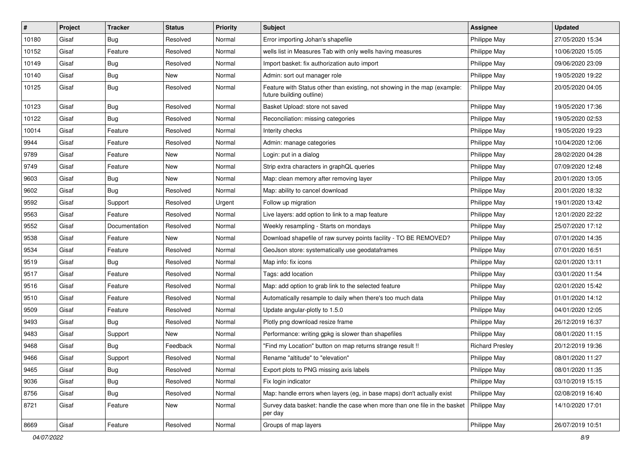| #     | Project | <b>Tracker</b> | <b>Status</b> | <b>Priority</b> | Subject                                                                                               | <b>Assignee</b>        | <b>Updated</b>   |
|-------|---------|----------------|---------------|-----------------|-------------------------------------------------------------------------------------------------------|------------------------|------------------|
| 10180 | Gisaf   | Bug            | Resolved      | Normal          | Error importing Johan's shapefile                                                                     | Philippe May           | 27/05/2020 15:34 |
| 10152 | Gisaf   | Feature        | Resolved      | Normal          | wells list in Measures Tab with only wells having measures                                            | Philippe May           | 10/06/2020 15:05 |
| 10149 | Gisaf   | Bug            | Resolved      | Normal          | Import basket: fix authorization auto import                                                          | Philippe May           | 09/06/2020 23:09 |
| 10140 | Gisaf   | <b>Bug</b>     | New           | Normal          | Admin: sort out manager role                                                                          | Philippe May           | 19/05/2020 19:22 |
| 10125 | Gisaf   | <b>Bug</b>     | Resolved      | Normal          | Feature with Status other than existing, not showing in the map (example:<br>future building outline) | Philippe May           | 20/05/2020 04:05 |
| 10123 | Gisaf   | Bug            | Resolved      | Normal          | Basket Upload: store not saved                                                                        | Philippe May           | 19/05/2020 17:36 |
| 10122 | Gisaf   | Bug            | Resolved      | Normal          | Reconciliation: missing categories                                                                    | Philippe May           | 19/05/2020 02:53 |
| 10014 | Gisaf   | Feature        | Resolved      | Normal          | Interity checks                                                                                       | Philippe May           | 19/05/2020 19:23 |
| 9944  | Gisaf   | Feature        | Resolved      | Normal          | Admin: manage categories                                                                              | Philippe May           | 10/04/2020 12:06 |
| 9789  | Gisaf   | Feature        | New           | Normal          | Login: put in a dialog                                                                                | Philippe May           | 28/02/2020 04:28 |
| 9749  | Gisaf   | Feature        | New           | Normal          | Strip extra characters in graphQL queries                                                             | Philippe May           | 07/09/2020 12:48 |
| 9603  | Gisaf   | <b>Bug</b>     | New           | Normal          | Map: clean memory after removing layer                                                                | Philippe May           | 20/01/2020 13:05 |
| 9602  | Gisaf   | Bug            | Resolved      | Normal          | Map: ability to cancel download                                                                       | Philippe May           | 20/01/2020 18:32 |
| 9592  | Gisaf   | Support        | Resolved      | Urgent          | Follow up migration                                                                                   | Philippe May           | 19/01/2020 13:42 |
| 9563  | Gisaf   | Feature        | Resolved      | Normal          | Live layers: add option to link to a map feature                                                      | Philippe May           | 12/01/2020 22:22 |
| 9552  | Gisaf   | Documentation  | Resolved      | Normal          | Weekly resampling - Starts on mondays                                                                 | Philippe May           | 25/07/2020 17:12 |
| 9538  | Gisaf   | Feature        | New           | Normal          | Download shapefile of raw survey points facility - TO BE REMOVED?                                     | Philippe May           | 07/01/2020 14:35 |
| 9534  | Gisaf   | Feature        | Resolved      | Normal          | GeoJson store: systematically use geodataframes                                                       | Philippe May           | 07/01/2020 16:51 |
| 9519  | Gisaf   | <b>Bug</b>     | Resolved      | Normal          | Map info: fix icons                                                                                   | Philippe May           | 02/01/2020 13:11 |
| 9517  | Gisaf   | Feature        | Resolved      | Normal          | Tags: add location                                                                                    | Philippe May           | 03/01/2020 11:54 |
| 9516  | Gisaf   | Feature        | Resolved      | Normal          | Map: add option to grab link to the selected feature                                                  | Philippe May           | 02/01/2020 15:42 |
| 9510  | Gisaf   | Feature        | Resolved      | Normal          | Automatically resample to daily when there's too much data                                            | Philippe May           | 01/01/2020 14:12 |
| 9509  | Gisaf   | Feature        | Resolved      | Normal          | Update angular-plotly to 1.5.0                                                                        | Philippe May           | 04/01/2020 12:05 |
| 9493  | Gisaf   | Bug            | Resolved      | Normal          | Plotly png download resize frame                                                                      | Philippe May           | 26/12/2019 16:37 |
| 9483  | Gisaf   | Support        | New           | Normal          | Performance: writing gpkg is slower than shapefiles                                                   | Philippe May           | 08/01/2020 11:15 |
| 9468  | Gisaf   | Bug            | Feedback      | Normal          | "Find my Location" button on map returns strange result !!                                            | <b>Richard Presley</b> | 20/12/2019 19:36 |
| 9466  | Gisaf   | Support        | Resolved      | Normal          | Rename "altitude" to "elevation"                                                                      | Philippe May           | 08/01/2020 11:27 |
| 9465  | Gisaf   | Bug            | Resolved      | Normal          | Export plots to PNG missing axis labels                                                               | Philippe May           | 08/01/2020 11:35 |
| 9036  | Gisaf   | <b>Bug</b>     | Resolved      | Normal          | Fix login indicator                                                                                   | Philippe May           | 03/10/2019 15:15 |
| 8756  | Gisaf   | <b>Bug</b>     | Resolved      | Normal          | Map: handle errors when layers (eg, in base maps) don't actually exist                                | Philippe May           | 02/08/2019 16:40 |
| 8721  | Gisaf   | Feature        | New           | Normal          | Survey data basket: handle the case when more than one file in the basket<br>per day                  | Philippe May           | 14/10/2020 17:01 |
| 8669  | Gisaf   | Feature        | Resolved      | Normal          | Groups of map layers                                                                                  | Philippe May           | 26/07/2019 10:51 |